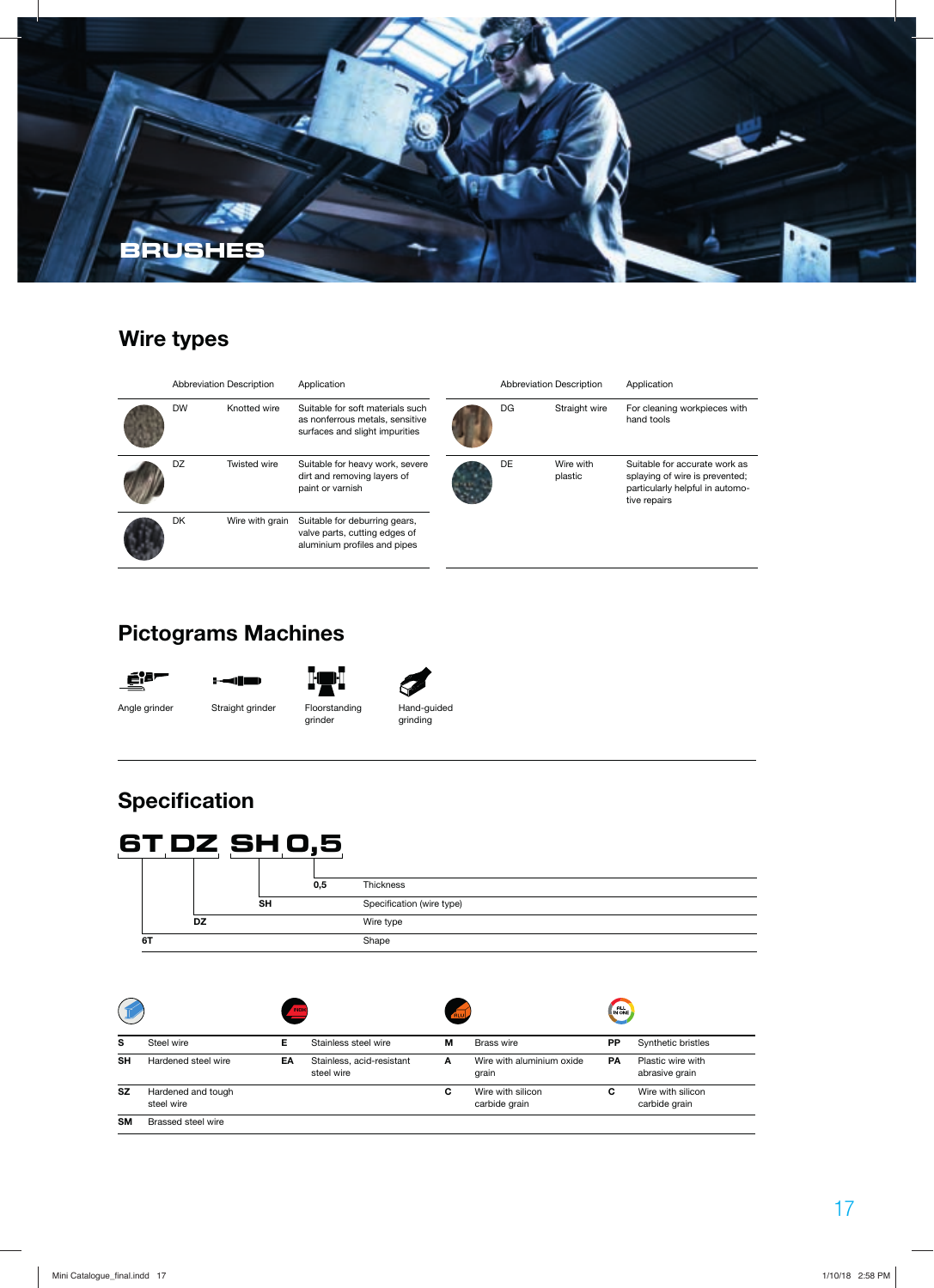

# **Wire types**

| <b>Abbreviation Description</b> |                 | Application                                                                                           | <b>Abbreviation Description</b> |    |                      | Application                                                                                                        |
|---------------------------------|-----------------|-------------------------------------------------------------------------------------------------------|---------------------------------|----|----------------------|--------------------------------------------------------------------------------------------------------------------|
| <b>DW</b>                       | Knotted wire    | Suitable for soft materials such<br>as nonferrous metals, sensitive<br>surfaces and slight impurities |                                 | DG | Straight wire        | For cleaning workpieces with<br>hand tools                                                                         |
| DZ                              | Twisted wire    | Suitable for heavy work, severe<br>dirt and removing layers of<br>paint or varnish                    |                                 | DE | Wire with<br>plastic | Suitable for accurate work as<br>splaying of wire is prevented;<br>particularly helpful in automo-<br>tive repairs |
| <b>DK</b>                       | Wire with grain | Suitable for deburring gears,<br>valve parts, cutting edges of<br>aluminium profiles and pipes        |                                 |    |                      |                                                                                                                    |

# **Pictograms Machines**

 $\blacksquare$ 



Angle grinder Straight grinder Floorstanding grinder



Hand-guided grinding

# **Specification**



|           |                                  | <b>INOH</b> |                                         | <b>ALU</b> |                                    | <b>ALL</b> |                                     |
|-----------|----------------------------------|-------------|-----------------------------------------|------------|------------------------------------|------------|-------------------------------------|
| s         | Steel wire                       | Е           | Stainless steel wire                    | м          | <b>Brass wire</b>                  | <b>PP</b>  | Synthetic bristles                  |
| <b>SH</b> | Hardened steel wire              | EA          | Stainless, acid-resistant<br>steel wire | A          | Wire with aluminium oxide<br>grain | <b>PA</b>  | Plastic wire with<br>abrasive grain |
| <b>SZ</b> | Hardened and tough<br>steel wire |             |                                         | C          | Wire with silicon<br>carbide grain | C          | Wire with silicon<br>carbide grain  |
| <b>SM</b> | Brassed steel wire               |             |                                         |            |                                    |            |                                     |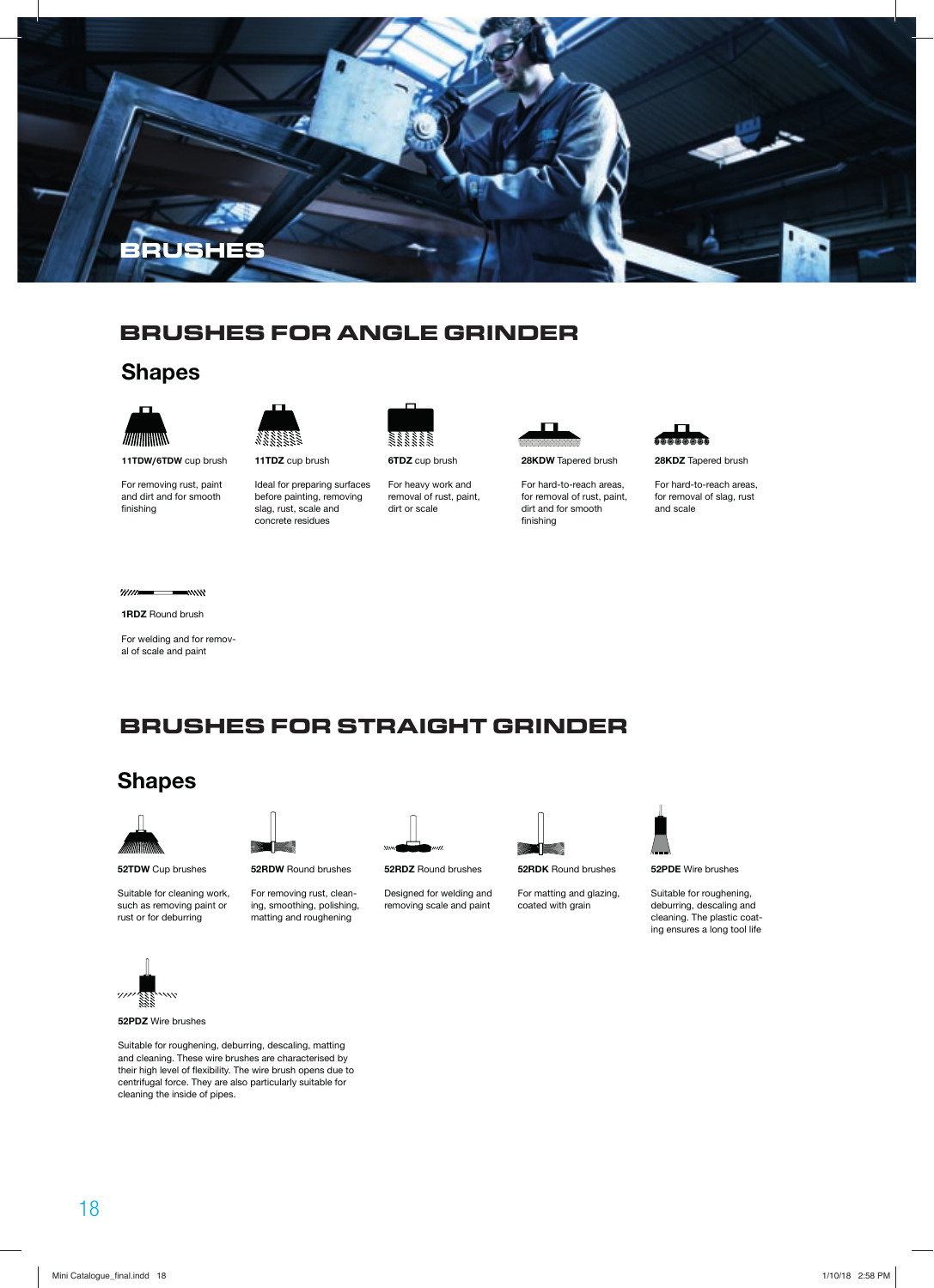

#### **BRUSHES FOR ANGLE GRINDER**

#### **Shapes**

![](_page_1_Picture_3.jpeg)

11TDW/6TDW cup brush

For removing rust, paint and dirt and for smooth finishing

![](_page_1_Picture_6.jpeg)

**11TDZ** cup brush

Ideal for preparing surfaces before painting, removing slag, rust, scale and concrete residues

![](_page_1_Picture_9.jpeg)

For heavy work and removal of rust, paint, dirt or scale

![](_page_1_Picture_11.jpeg)

**28KDW** Tapered brush

For hard-to-reach areas, for removal of rust, paint, dirt and for smooth finishing

![](_page_1_Picture_14.jpeg)

**28KDZ** Tapered brush

For hard-to-reach areas, for removal of slag, rust and scale

#### $"$

**1RDZ** Round brush

For welding and for removal of scale and paint

#### **BRUSHES FOR STRAIGHT GRINDER**

#### **Shapes**

![](_page_1_Picture_22.jpeg)

**52TDW** Cup brushes

Suitable for cleaning work, such as removing paint or rust or for deburring

![](_page_1_Picture_25.jpeg)

**52RDW** Round brushes

For removing rust, cleaning, smoothing, polishing, matting and roughening

![](_page_1_Picture_28.jpeg)

**52RDZ** Round brushes

Designed for welding and removing scale and paint

![](_page_1_Picture_31.jpeg)

**52RDK** Round brushes

For matting and glazing, coated with grain

![](_page_1_Picture_34.jpeg)

**52PDE** Wire brushes

Suitable for roughening, deburring, descaling and cleaning. The plastic coating ensures a long tool life

![](_page_1_Picture_37.jpeg)

**52PDZ** Wire brushes

Suitable for roughening, deburring, descaling, matting and cleaning. These wire brushes are characterised by their high level of flexibility. The wire brush opens due to centrifugal force. They are also particularly suitable for cleaning the inside of pipes.